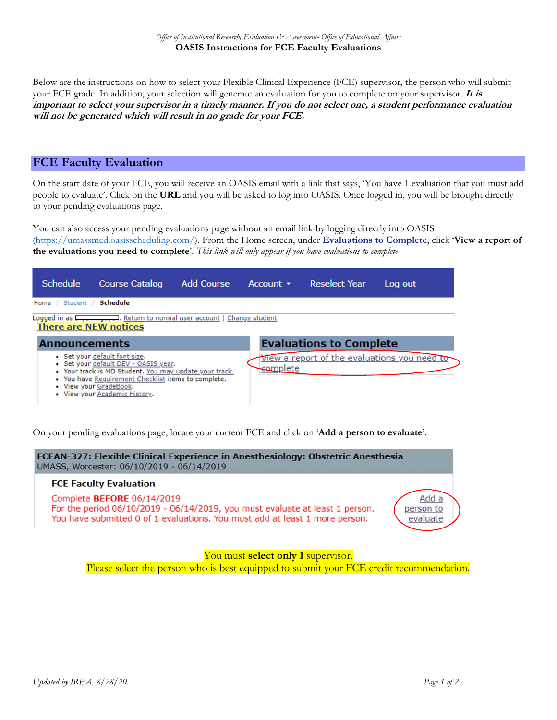Below are the instructions on how to select your Flexible Clinical Experience (FCE) supervisor, the person who will submit your FCE grade. In addition, your selection will generate an evaluation for you to complete on your supervisor. **It is important to select your supervisor in a timely manner. If you do not select one, a student performance evaluation will not be generated which will result in no grade for your FCE.** 

## **FCE Faculty Evaluation**

On the start date of your FCE, you will receive an OASIS email with a link that says, 'You have 1 evaluation that you must add people to evaluate'. Click on the **URL** and you will be asked to log into OASIS. Once logged in, you will be brought directly to your pending evaluations page.

You can also access your pending evaluations page without an email link by logging directly into OASIS (https://umassmed.oasisscheduling.com/). From the Home screen, under **Evaluations to Complete**, click '**View a report of the evaluations you need to complete**'. *This link will only appear if you have evaluations to complete*

| <b>Schedule</b>                                                                                        | <b>Course Catalog</b>                                                                                                                                                                                                                             | <b>Add Course</b> |  | Account $\sim$ | <b>Reselect Year</b> |  | Log out                                      |  |
|--------------------------------------------------------------------------------------------------------|---------------------------------------------------------------------------------------------------------------------------------------------------------------------------------------------------------------------------------------------------|-------------------|--|----------------|----------------------|--|----------------------------------------------|--|
| Student /<br>Home $/$                                                                                  | Schedule                                                                                                                                                                                                                                          |                   |  |                |                      |  |                                              |  |
| Logged in as Letter and Return to normal user account   Change student<br><b>There are NEW notices</b> |                                                                                                                                                                                                                                                   |                   |  |                |                      |  |                                              |  |
| <b>Evaluations to Complete</b><br><b>Announcements</b>                                                 |                                                                                                                                                                                                                                                   |                   |  |                |                      |  |                                              |  |
|                                                                                                        | • Set your default font size.<br>• Set your default DEV - OASIS year.<br>. Your track is MD Student. You may update your track.<br>. You have Requirement Checklist items to complete.<br>• View your GradeBook.<br>• View your Academic History. |                   |  | complete       |                      |  | View a report of the evaluations you need to |  |

On your pending evaluations page, locate your current FCE and click on '**Add a person to evaluate**'.



Please select the person who is best equipped to submit your FCE credit recommendation.